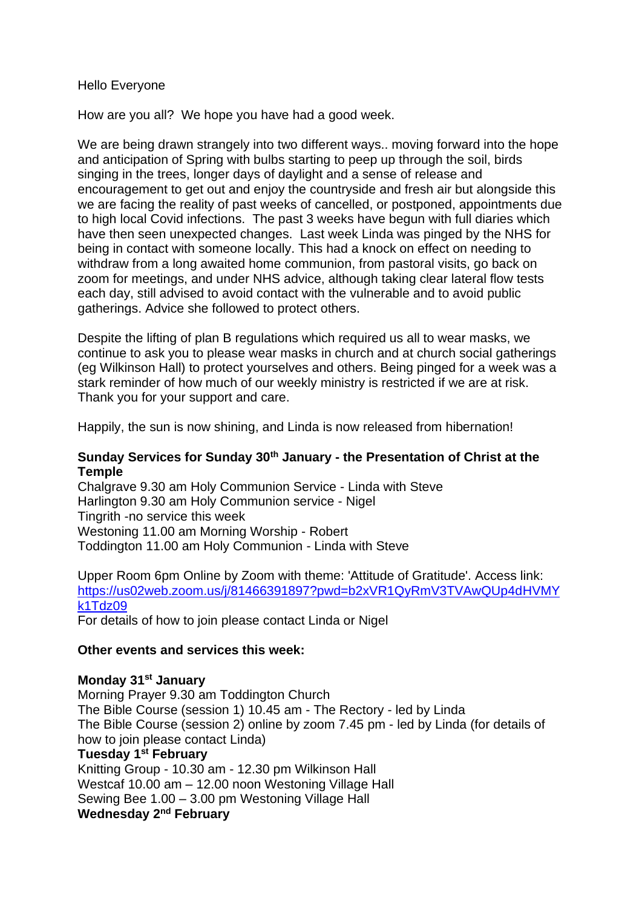#### Hello Everyone

How are you all? We hope you have had a good week.

We are being drawn strangely into two different ways.. moving forward into the hope and anticipation of Spring with bulbs starting to peep up through the soil, birds singing in the trees, longer days of daylight and a sense of release and encouragement to get out and enjoy the countryside and fresh air but alongside this we are facing the reality of past weeks of cancelled, or postponed, appointments due to high local Covid infections. The past 3 weeks have begun with full diaries which have then seen unexpected changes. Last week Linda was pinged by the NHS for being in contact with someone locally. This had a knock on effect on needing to withdraw from a long awaited home communion, from pastoral visits, go back on zoom for meetings, and under NHS advice, although taking clear lateral flow tests each day, still advised to avoid contact with the vulnerable and to avoid public gatherings. Advice she followed to protect others.

Despite the lifting of plan B regulations which required us all to wear masks, we continue to ask you to please wear masks in church and at church social gatherings (eg Wilkinson Hall) to protect yourselves and others. Being pinged for a week was a stark reminder of how much of our weekly ministry is restricted if we are at risk. Thank you for your support and care.

Happily, the sun is now shining, and Linda is now released from hibernation!

### **Sunday Services for Sunday 30th January - the Presentation of Christ at the Temple**

Chalgrave 9.30 am Holy Communion Service - Linda with Steve Harlington 9.30 am Holy Communion service - Nigel Tingrith -no service this week Westoning 11.00 am Morning Worship - Robert Toddington 11.00 am Holy Communion - Linda with Steve

Upper Room 6pm Online by Zoom with theme: 'Attitude of Gratitude'. Access link: [https://us02web.zoom.us/j/81466391897?pwd=b2xVR1QyRmV3TVAwQUp4dHVMY](https://us02web.zoom.us/j/81466391897?pwd=b2xVR1QyRmV3TVAwQUp4dHVMYk1Tdz09) [k1Tdz09](https://us02web.zoom.us/j/81466391897?pwd=b2xVR1QyRmV3TVAwQUp4dHVMYk1Tdz09)

For details of how to join please contact Linda or Nigel

#### **Other events and services this week:**

#### **Monday 31st January**

Morning Prayer 9.30 am Toddington Church The Bible Course (session 1) 10.45 am - The Rectory - led by Linda The Bible Course (session 2) online by zoom 7.45 pm - led by Linda (for details of how to join please contact Linda)

## **Tuesday 1st February**

Knitting Group - 10.30 am - 12.30 pm Wilkinson Hall Westcaf 10.00 am – 12.00 noon Westoning Village Hall Sewing Bee 1.00 – 3.00 pm Westoning Village Hall **Wednesday 2nd February**